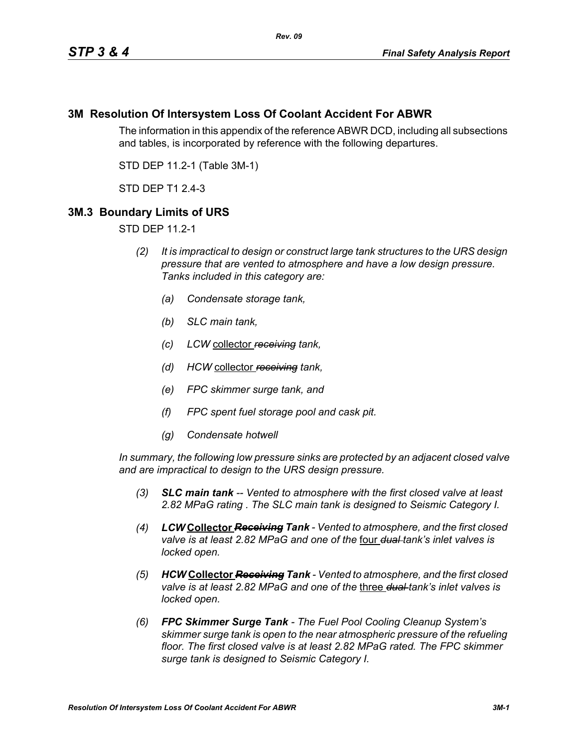## **3M Resolution Of Intersystem Loss Of Coolant Accident For ABWR**

The information in this appendix of the reference ABWR DCD, including all subsections and tables, is incorporated by reference with the following departures.

STD DEP 11.2-1 (Table 3M-1)

STD DEP T1 2.4-3

### **3M.3 Boundary Limits of URS**

STD DEP 11.2-1

- *(2) It is impractical to design or construct large tank structures to the URS design pressure that are vented to atmosphere and have a low design pressure. Tanks included in this category are:*
	- *(a) Condensate storage tank,*
	- *(b) SLC main tank,*
	- *(c) LCW* collector *receiving tank,*
	- *(d) HCW* collector *receiving tank,*
	- *(e) FPC skimmer surge tank, and*
	- *(f) FPC spent fuel storage pool and cask pit.*
	- *(g) Condensate hotwell*

*In summary, the following low pressure sinks are protected by an adjacent closed valve and are impractical to design to the URS design pressure.*

- *(3) SLC main tank -- Vented to atmosphere with the first closed valve at least 2.82 MPaG rating . The SLC main tank is designed to Seismic Category I.*
- *(4) LCW* **Collector** *Receiving Tank Vented to atmosphere, and the first closed valve is at least 2.82 MPaG and one of the* four *dual tank's inlet valves is locked open.*
- *(5) HCW* **Collector** *Receiving Tank Vented to atmosphere, and the first closed valve is at least 2.82 MPaG and one of the* three *dual tank's inlet valves is locked open.*
- *(6) FPC Skimmer Surge Tank The Fuel Pool Cooling Cleanup System's skimmer surge tank is open to the near atmospheric pressure of the refueling floor. The first closed valve is at least 2.82 MPaG rated. The FPC skimmer surge tank is designed to Seismic Category I.*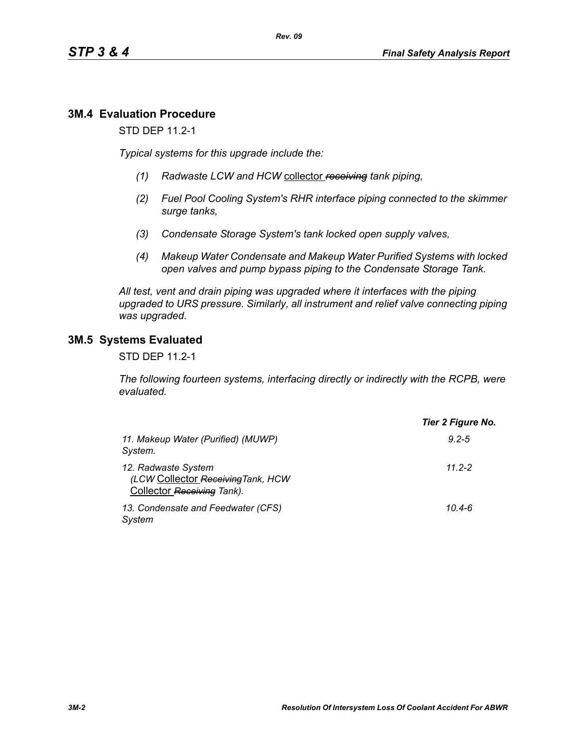# **3M.4 Evaluation Procedure**

STD DEP 11.2-1

*Typical systems for this upgrade include the:*

- *(1) Radwaste LCW and HCW* collector *receiving tank piping,*
- *(2) Fuel Pool Cooling System's RHR interface piping connected to the skimmer surge tanks,*
- *(3) Condensate Storage System's tank locked open supply valves,*
- *(4) Makeup Water Condensate and Makeup Water Purified Systems with locked open valves and pump bypass piping to the Condensate Storage Tank.*

*All test, vent and drain piping was upgraded where it interfaces with the piping upgraded to URS pressure. Similarly, all instrument and relief valve connecting piping was upgraded.*

### **3M.5 Systems Evaluated**

STD DEP 11.2-1

*The following fourteen systems, interfacing directly or indirectly with the RCPB, were evaluated.*

|                                                                                         | Tier 2 Figure No. |
|-----------------------------------------------------------------------------------------|-------------------|
| 11. Makeup Water (Purified) (MUWP)<br>System.                                           | $9.2 - 5$         |
| 12. Radwaste System<br>(LCW Collector Receiving Tank, HCW<br>Collector Receiving Tank). | 11 2-2            |
| 13. Condensate and Feedwater (CFS)<br>System                                            | $10.4 - 6$        |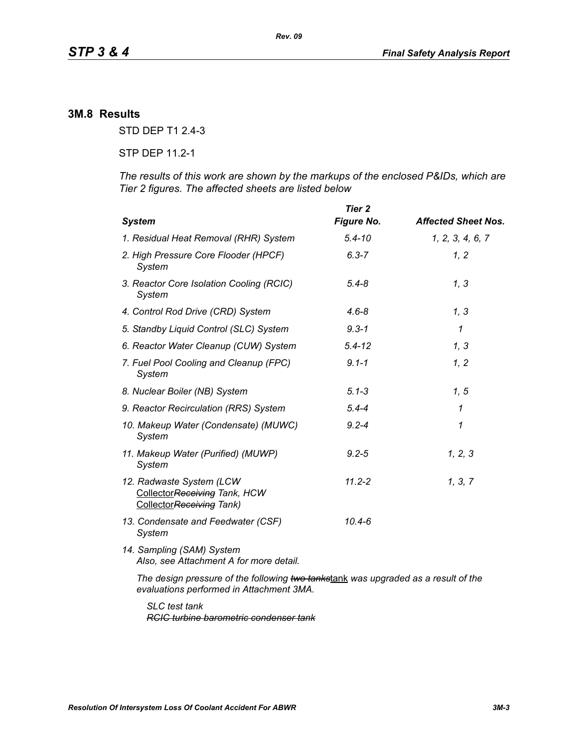### **3M.8 Results**

STD DEP T1 2.4-3

STP DEP 11.2-1

*The results of this work are shown by the markups of the enclosed P&IDs, which are Tier 2 figures. The affected sheets are listed below*

| <b>System</b>                                                                                                                  | Tier 2<br><b>Figure No.</b> | <b>Affected Sheet Nos.</b> |
|--------------------------------------------------------------------------------------------------------------------------------|-----------------------------|----------------------------|
| 1. Residual Heat Removal (RHR) System                                                                                          | $5.4 - 10$                  | 1, 2, 3, 4, 6, 7           |
| 2. High Pressure Core Flooder (HPCF)<br>System                                                                                 | $6.3 - 7$                   | 1, 2                       |
| 3. Reactor Core Isolation Cooling (RCIC)<br>System                                                                             | $5.4 - 8$                   | 1, 3                       |
| 4. Control Rod Drive (CRD) System                                                                                              | $4.6 - 8$                   | 1, 3                       |
| 5. Standby Liquid Control (SLC) System                                                                                         | $9.3 - 1$                   | $\mathcal I$               |
| 6. Reactor Water Cleanup (CUW) System                                                                                          | $5.4 - 12$                  | 1, 3                       |
| 7. Fuel Pool Cooling and Cleanup (FPC)<br>System                                                                               | $9.1 - 1$                   | 1, 2                       |
| 8. Nuclear Boiler (NB) System                                                                                                  | $5.1 - 3$                   | 1, 5                       |
| 9. Reactor Recirculation (RRS) System                                                                                          | $5.4 - 4$                   | $\mathcal I$               |
| 10. Makeup Water (Condensate) (MUWC)<br>System                                                                                 | $9.2 - 4$                   | 1                          |
| 11. Makeup Water (Purified) (MUWP)<br>System                                                                                   | $9.2 - 5$                   | 1, 2, 3                    |
| 12. Radwaste System (LCW<br>CollectorReceiving Tank, HCW<br>CollectorReceiving Tank)                                           | $11.2 - 2$                  | 1, 3, 7                    |
| 13. Condensate and Feedwater (CSF)<br>System                                                                                   | $10.4 - 6$                  |                            |
| 14. Sampling (SAM) System<br>Also, see Attachment A for more detail.                                                           |                             |                            |
| The design pressure of the following two tankstank was upgraded as a result of the<br>evaluations performed in Attachment 3MA. |                             |                            |

*SLC test tank RCIC turbine barometric condenser tank*